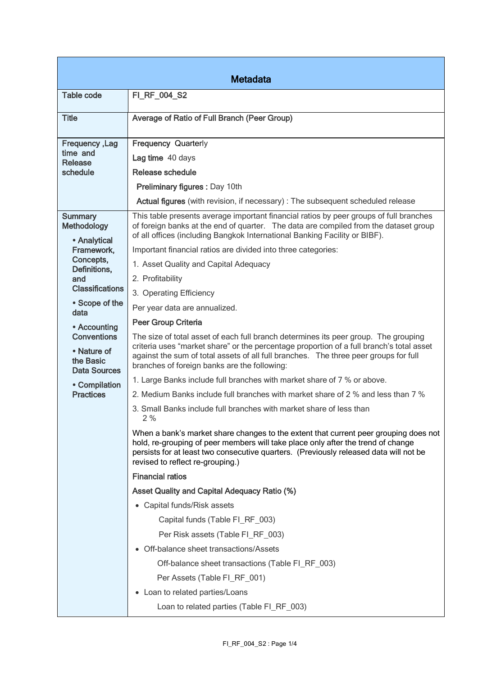| <b>Metadata</b>                                 |                                                                                                                                                                                                                                                                                                       |  |
|-------------------------------------------------|-------------------------------------------------------------------------------------------------------------------------------------------------------------------------------------------------------------------------------------------------------------------------------------------------------|--|
| <b>Table code</b>                               | FI_RF_004_S2                                                                                                                                                                                                                                                                                          |  |
| <b>Title</b>                                    | Average of Ratio of Full Branch (Peer Group)                                                                                                                                                                                                                                                          |  |
| <b>Frequency, Lag</b><br>time and<br>Release    | <b>Frequency Quarterly</b>                                                                                                                                                                                                                                                                            |  |
|                                                 | Lag time 40 days                                                                                                                                                                                                                                                                                      |  |
| schedule                                        | Release schedule                                                                                                                                                                                                                                                                                      |  |
|                                                 | <b>Preliminary figures: Day 10th</b>                                                                                                                                                                                                                                                                  |  |
|                                                 | Actual figures (with revision, if necessary) : The subsequent scheduled release                                                                                                                                                                                                                       |  |
| <b>Summary</b><br><b>Methodology</b>            | This table presents average important financial ratios by peer groups of full branches<br>of foreign banks at the end of quarter. The data are compiled from the dataset group<br>of all offices (including Bangkok International Banking Facility or BIBF).                                          |  |
| • Analytical<br>Framework,                      | Important financial ratios are divided into three categories:                                                                                                                                                                                                                                         |  |
| Concepts,                                       | 1. Asset Quality and Capital Adequacy                                                                                                                                                                                                                                                                 |  |
| Definitions,<br>and                             | 2. Profitability                                                                                                                                                                                                                                                                                      |  |
| <b>Classifications</b>                          | 3. Operating Efficiency                                                                                                                                                                                                                                                                               |  |
| • Scope of the                                  | Per year data are annualized.                                                                                                                                                                                                                                                                         |  |
| data                                            | <b>Peer Group Criteria</b>                                                                                                                                                                                                                                                                            |  |
| • Accounting<br><b>Conventions</b>              | The size of total asset of each full branch determines its peer group. The grouping                                                                                                                                                                                                                   |  |
| • Nature of<br>the Basic<br><b>Data Sources</b> | criteria uses "market share" or the percentage proportion of a full branch's total asset<br>against the sum of total assets of all full branches. The three peer groups for full<br>branches of foreign banks are the following:                                                                      |  |
| • Compilation                                   | 1. Large Banks include full branches with market share of 7 % or above.                                                                                                                                                                                                                               |  |
| <b>Practices</b>                                | 2. Medium Banks include full branches with market share of 2 % and less than 7 %                                                                                                                                                                                                                      |  |
|                                                 | 3. Small Banks include full branches with market share of less than<br>2 %                                                                                                                                                                                                                            |  |
|                                                 | When a bank's market share changes to the extent that current peer grouping does not<br>hold, re-grouping of peer members will take place only after the trend of change<br>persists for at least two consecutive quarters. (Previously released data will not be<br>revised to reflect re-grouping.) |  |
|                                                 | <b>Financial ratios</b>                                                                                                                                                                                                                                                                               |  |
|                                                 | <b>Asset Quality and Capital Adequacy Ratio (%)</b>                                                                                                                                                                                                                                                   |  |
|                                                 | • Capital funds/Risk assets                                                                                                                                                                                                                                                                           |  |
|                                                 | Capital funds (Table FI_RF_003)                                                                                                                                                                                                                                                                       |  |
|                                                 | Per Risk assets (Table FI_RF_003)                                                                                                                                                                                                                                                                     |  |
|                                                 | • Off-balance sheet transactions/Assets                                                                                                                                                                                                                                                               |  |
|                                                 | Off-balance sheet transactions (Table FI_RF_003)                                                                                                                                                                                                                                                      |  |
|                                                 | Per Assets (Table FI_RF_001)                                                                                                                                                                                                                                                                          |  |
|                                                 | Loan to related parties/Loans<br>$\bullet$                                                                                                                                                                                                                                                            |  |
|                                                 | Loan to related parties (Table FI_RF_003)                                                                                                                                                                                                                                                             |  |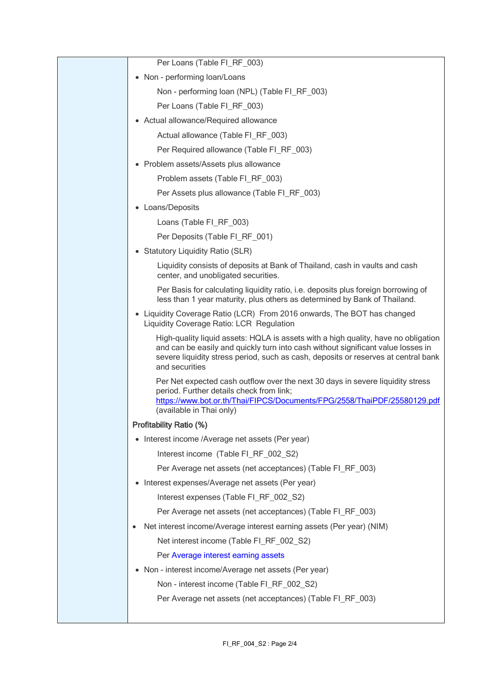| Per Loans (Table FI_RF_003)                                                                                                                                                                                                                                                    |
|--------------------------------------------------------------------------------------------------------------------------------------------------------------------------------------------------------------------------------------------------------------------------------|
| • Non - performing loan/Loans                                                                                                                                                                                                                                                  |
| Non - performing loan (NPL) (Table FI_RF_003)                                                                                                                                                                                                                                  |
| Per Loans (Table FI_RF_003)                                                                                                                                                                                                                                                    |
| • Actual allowance/Required allowance                                                                                                                                                                                                                                          |
| Actual allowance (Table FI_RF_003)                                                                                                                                                                                                                                             |
| Per Required allowance (Table FI_RF_003)                                                                                                                                                                                                                                       |
| • Problem assets/Assets plus allowance                                                                                                                                                                                                                                         |
| Problem assets (Table FI_RF_003)                                                                                                                                                                                                                                               |
| Per Assets plus allowance (Table FI_RF_003)                                                                                                                                                                                                                                    |
| • Loans/Deposits                                                                                                                                                                                                                                                               |
| Loans (Table FI_RF_003)                                                                                                                                                                                                                                                        |
| Per Deposits (Table FI_RF_001)                                                                                                                                                                                                                                                 |
| • Statutory Liquidity Ratio (SLR)                                                                                                                                                                                                                                              |
| Liquidity consists of deposits at Bank of Thailand, cash in vaults and cash<br>center, and unobligated securities.                                                                                                                                                             |
| Per Basis for calculating liquidity ratio, i.e. deposits plus foreign borrowing of<br>less than 1 year maturity, plus others as determined by Bank of Thailand.                                                                                                                |
| • Liquidity Coverage Ratio (LCR) From 2016 onwards, The BOT has changed<br>Liquidity Coverage Ratio: LCR Regulation                                                                                                                                                            |
| High-quality liquid assets: HQLA is assets with a high quality, have no obligation<br>and can be easily and quickly turn into cash without significant value losses in<br>severe liquidity stress period, such as cash, deposits or reserves at central bank<br>and securities |
| Per Net expected cash outflow over the next 30 days in severe liquidity stress<br>period. Further details check from link;<br>https://www.bot.or.th/Thai/FIPCS/Documents/FPG/2558/ThaiPDF/25580129.pdf<br>(available in Thai only)                                             |
| <b>Profitability Ratio (%)</b>                                                                                                                                                                                                                                                 |
| • Interest income /Average net assets (Per year)                                                                                                                                                                                                                               |
| Interest income (Table FI_RF_002_S2)                                                                                                                                                                                                                                           |
| Per Average net assets (net acceptances) (Table FI_RF_003)                                                                                                                                                                                                                     |
| • Interest expenses/Average net assets (Per year)                                                                                                                                                                                                                              |
| Interest expenses (Table FI_RF_002_S2)                                                                                                                                                                                                                                         |
| Per Average net assets (net acceptances) (Table FI_RF_003)                                                                                                                                                                                                                     |
| Net interest income/Average interest earning assets (Per year) (NIM)<br>٠                                                                                                                                                                                                      |
| Net interest income (Table FI_RF_002_S2)                                                                                                                                                                                                                                       |
| Per Average interest earning assets                                                                                                                                                                                                                                            |
| • Non - interest income/Average net assets (Per year)                                                                                                                                                                                                                          |
| Non - interest income (Table FI_RF_002_S2)                                                                                                                                                                                                                                     |
| Per Average net assets (net acceptances) (Table FI_RF_003)                                                                                                                                                                                                                     |
|                                                                                                                                                                                                                                                                                |
|                                                                                                                                                                                                                                                                                |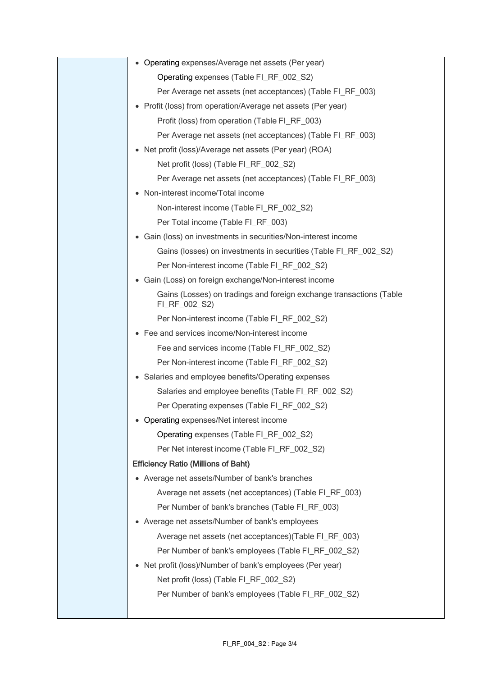| • Operating expenses/Average net assets (Per year)                                   |
|--------------------------------------------------------------------------------------|
| Operating expenses (Table FI_RF_002_S2)                                              |
| Per Average net assets (net acceptances) (Table FI_RF_003)                           |
| • Profit (loss) from operation/Average net assets (Per year)                         |
| Profit (loss) from operation (Table FI_RF_003)                                       |
| Per Average net assets (net acceptances) (Table FI_RF_003)                           |
| • Net profit (loss)/Average net assets (Per year) (ROA)                              |
| Net profit (loss) (Table FI_RF_002_S2)                                               |
| Per Average net assets (net acceptances) (Table FI_RF_003)                           |
| • Non-interest income/Total income                                                   |
| Non-interest income (Table FI_RF_002_S2)                                             |
| Per Total income (Table FI_RF_003)                                                   |
| • Gain (loss) on investments in securities/Non-interest income                       |
| Gains (losses) on investments in securities (Table FI_RF_002_S2)                     |
| Per Non-interest income (Table FI_RF_002_S2)                                         |
| • Gain (Loss) on foreign exchange/Non-interest income                                |
| Gains (Losses) on tradings and foreign exchange transactions (Table<br>FI_RF_002_S2) |
| Per Non-interest income (Table FI_RF_002_S2)                                         |
| • Fee and services income/Non-interest income                                        |
| Fee and services income (Table FI_RF_002_S2)                                         |
| Per Non-interest income (Table FI_RF_002_S2)                                         |
| • Salaries and employee benefits/Operating expenses                                  |
| Salaries and employee benefits (Table FI RF 002 S2)                                  |
| Per Operating expenses (Table FI RF 002 S2)                                          |
| • Operating expenses/Net interest income                                             |
| Operating expenses (Table FI_RF_002_S2)                                              |
| Per Net interest income (Table FI_RF_002_S2)                                         |
| <b>Efficiency Ratio (Millions of Baht)</b>                                           |
| • Average net assets/Number of bank's branches                                       |
| Average net assets (net acceptances) (Table FI_RF_003)                               |
| Per Number of bank's branches (Table FI_RF_003)                                      |
| • Average net assets/Number of bank's employees                                      |
| Average net assets (net acceptances) (Table FI_RF_003)                               |
| Per Number of bank's employees (Table FI_RF_002_S2)                                  |
| • Net profit (loss)/Number of bank's employees (Per year)                            |
| Net profit (loss) (Table FI_RF_002_S2)                                               |
| Per Number of bank's employees (Table FI_RF_002_S2)                                  |
|                                                                                      |
|                                                                                      |